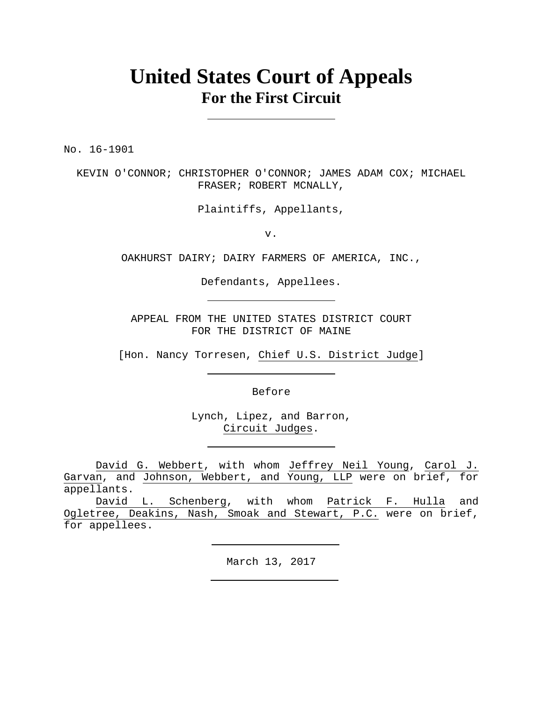# **United States Court of Appeals For the First Circuit**

No. 16-1901

KEVIN O'CONNOR; CHRISTOPHER O'CONNOR; JAMES ADAM COX; MICHAEL FRASER; ROBERT MCNALLY,

Plaintiffs, Appellants,

v.

OAKHURST DAIRY; DAIRY FARMERS OF AMERICA, INC.,

Defendants, Appellees.

APPEAL FROM THE UNITED STATES DISTRICT COURT FOR THE DISTRICT OF MAINE

[Hon. Nancy Torresen, Chief U.S. District Judge]

Before

Lynch, Lipez, and Barron, Circuit Judges.

David G. Webbert, with whom Jeffrey Neil Young, Carol J. Garvan, and Johnson, Webbert, and Young, LLP were on brief, for appellants.

David L. Schenberg, with whom Patrick F. Hulla and Ogletree, Deakins, Nash, Smoak and Stewart, P.C. were on brief, for appellees.

March 13, 2017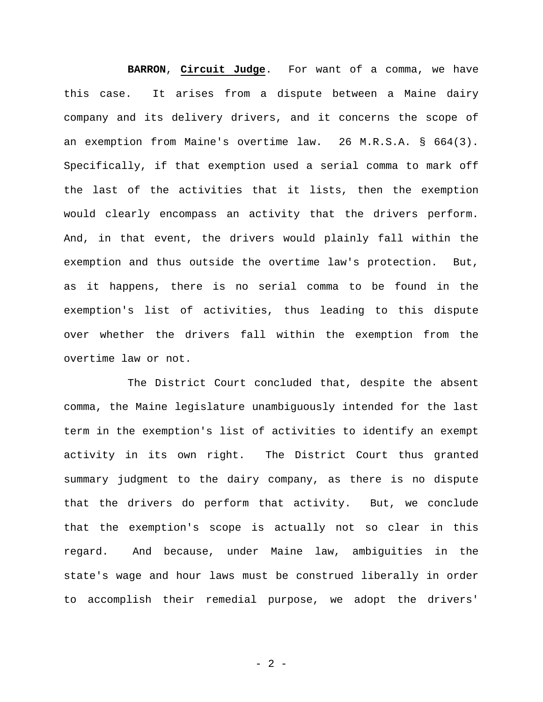**BARRON**, **Circuit Judge**. For want of a comma, we have this case. It arises from a dispute between a Maine dairy company and its delivery drivers, and it concerns the scope of an exemption from Maine's overtime law. 26 M.R.S.A. § 664(3). Specifically, if that exemption used a serial comma to mark off the last of the activities that it lists, then the exemption would clearly encompass an activity that the drivers perform. And, in that event, the drivers would plainly fall within the exemption and thus outside the overtime law's protection. But, as it happens, there is no serial comma to be found in the exemption's list of activities, thus leading to this dispute over whether the drivers fall within the exemption from the overtime law or not.

The District Court concluded that, despite the absent comma, the Maine legislature unambiguously intended for the last term in the exemption's list of activities to identify an exempt activity in its own right. The District Court thus granted summary judgment to the dairy company, as there is no dispute that the drivers do perform that activity. But, we conclude that the exemption's scope is actually not so clear in this regard. And because, under Maine law, ambiguities in the state's wage and hour laws must be construed liberally in order to accomplish their remedial purpose, we adopt the drivers'

- 2 -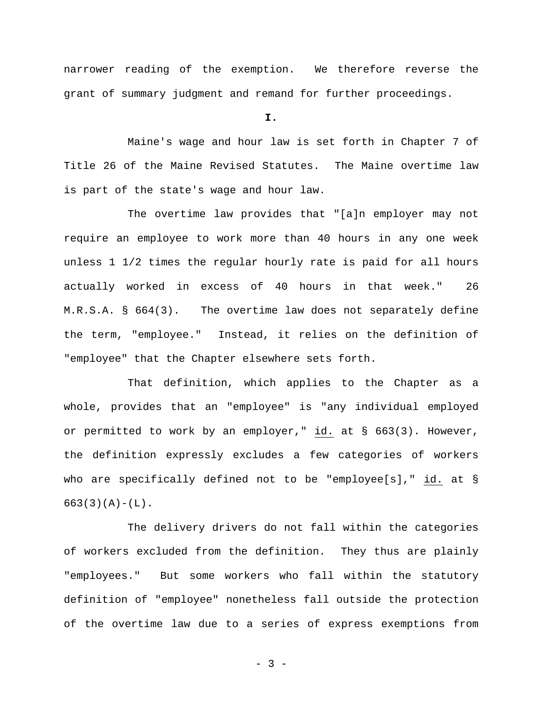narrower reading of the exemption. We therefore reverse the grant of summary judgment and remand for further proceedings.

**I.** 

Maine's wage and hour law is set forth in Chapter 7 of Title 26 of the Maine Revised Statutes. The Maine overtime law is part of the state's wage and hour law.

The overtime law provides that "[a]n employer may not require an employee to work more than 40 hours in any one week unless 1 1/2 times the regular hourly rate is paid for all hours actually worked in excess of 40 hours in that week." 26 M.R.S.A. § 664(3). The overtime law does not separately define the term, "employee." Instead, it relies on the definition of "employee" that the Chapter elsewhere sets forth.

That definition, which applies to the Chapter as a whole, provides that an "employee" is "any individual employed or permitted to work by an employer," id. at § 663(3). However, the definition expressly excludes a few categories of workers who are specifically defined not to be "employee[s]," id. at §  $663(3)(A) - (L)$ .

The delivery drivers do not fall within the categories of workers excluded from the definition. They thus are plainly "employees." But some workers who fall within the statutory definition of "employee" nonetheless fall outside the protection of the overtime law due to a series of express exemptions from

- 3 -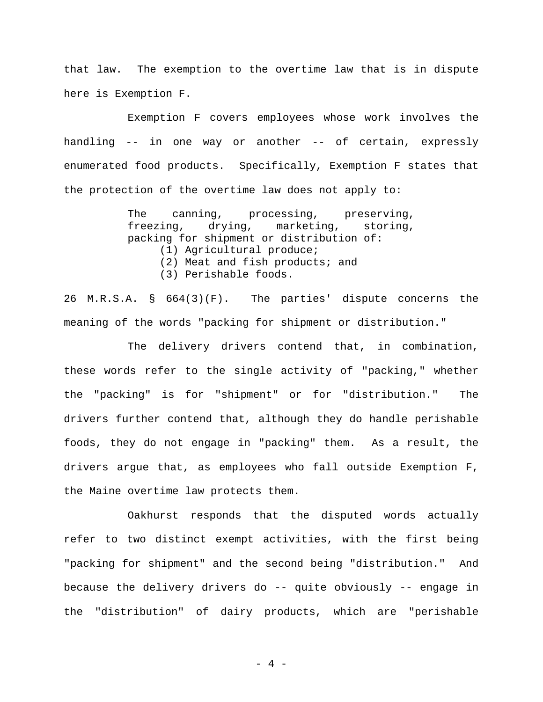that law. The exemption to the overtime law that is in dispute here is Exemption F.

Exemption F covers employees whose work involves the handling -- in one way or another -- of certain, expressly enumerated food products. Specifically, Exemption F states that the protection of the overtime law does not apply to:

> The canning, processing, preserving, freezing, drying, marketing, storing, packing for shipment or distribution of: (1) Agricultural produce; (2) Meat and fish products; and (3) Perishable foods.

26 M.R.S.A. § 664(3)(F). The parties' dispute concerns the meaning of the words "packing for shipment or distribution."

The delivery drivers contend that, in combination, these words refer to the single activity of "packing," whether the "packing" is for "shipment" or for "distribution." The drivers further contend that, although they do handle perishable foods, they do not engage in "packing" them. As a result, the drivers argue that, as employees who fall outside Exemption F, the Maine overtime law protects them.

Oakhurst responds that the disputed words actually refer to two distinct exempt activities, with the first being "packing for shipment" and the second being "distribution." And because the delivery drivers do -- quite obviously -- engage in the "distribution" of dairy products, which are "perishable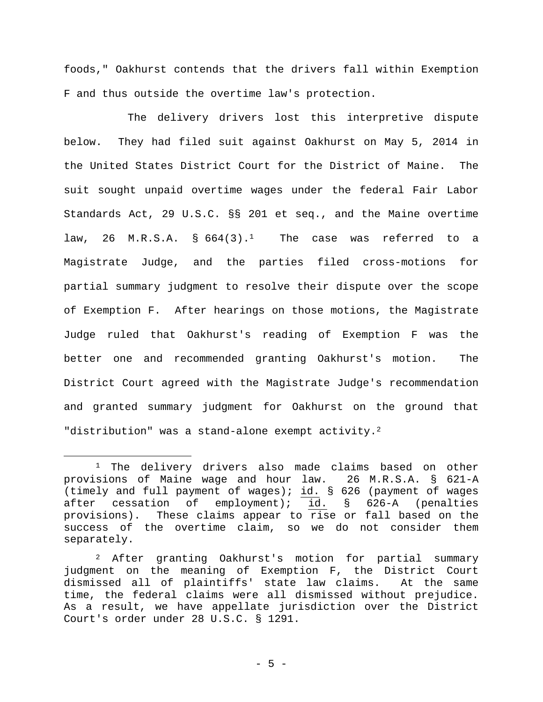foods," Oakhurst contends that the drivers fall within Exemption F and thus outside the overtime law's protection.

The delivery drivers lost this interpretive dispute below. They had filed suit against Oakhurst on May 5, 2014 in the United States District Court for the District of Maine. The suit sought unpaid overtime wages under the federal Fair Labor Standards Act, 29 U.S.C. §§ 201 et seq., and the Maine overtime law, 26 M.R.S.A. §  $664(3)$ .<sup>1</sup> The case was referred to a Magistrate Judge, and the parties filed cross-motions for partial summary judgment to resolve their dispute over the scope of Exemption F. After hearings on those motions, the Magistrate Judge ruled that Oakhurst's reading of Exemption F was the better one and recommended granting Oakhurst's motion. The District Court agreed with the Magistrate Judge's recommendation and granted summary judgment for Oakhurst on the ground that "distribution" was a stand-alone exempt activity.<sup>2</sup>

<sup>&</sup>lt;sup>1</sup> The delivery drivers also made claims based on other provisions of Maine wage and hour law. 26 M.R.S.A. § 621-A (timely and full payment of wages);  $id.$  § 626 (payment of wages after cessation of employment); id. § 626-A (penalties provisions). These claims appear to rise or fall based on the success of the overtime claim, so we do not consider them separately.

<sup>2</sup> After granting Oakhurst's motion for partial summary judgment on the meaning of Exemption F, the District Court dismissed all of plaintiffs' state law claims. At the same time, the federal claims were all dismissed without prejudice. As a result, we have appellate jurisdiction over the District Court's order under 28 U.S.C. § 1291.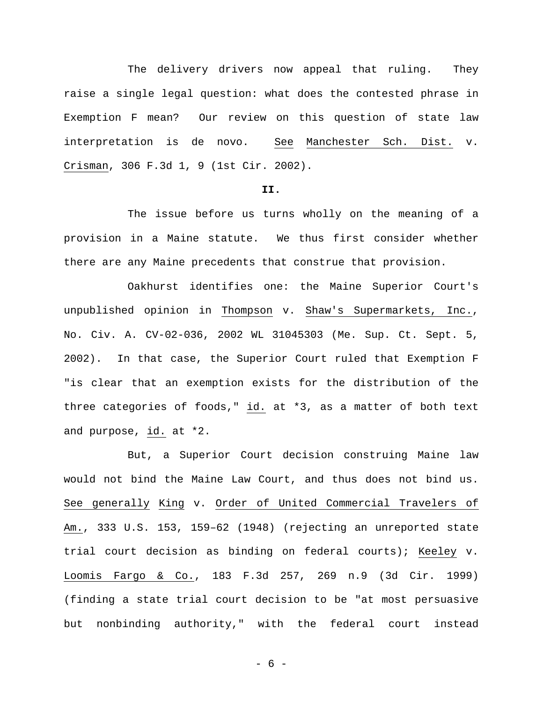The delivery drivers now appeal that ruling. They raise a single legal question: what does the contested phrase in Exemption F mean? Our review on this question of state law interpretation is de novo. See Manchester Sch. Dist. v. Crisman, 306 F.3d 1, 9 (1st Cir. 2002).

# **II.**

The issue before us turns wholly on the meaning of a provision in a Maine statute. We thus first consider whether there are any Maine precedents that construe that provision.

Oakhurst identifies one: the Maine Superior Court's unpublished opinion in Thompson v. Shaw's Supermarkets, Inc., No. Civ. A. CV-02-036, 2002 WL 31045303 (Me. Sup. Ct. Sept. 5, 2002). In that case, the Superior Court ruled that Exemption F "is clear that an exemption exists for the distribution of the three categories of foods," id. at \*3, as a matter of both text and purpose, id. at \*2.

But, a Superior Court decision construing Maine law would not bind the Maine Law Court, and thus does not bind us. See generally King v. Order of United Commercial Travelers of Am., 333 U.S. 153, 159–62 (1948) (rejecting an unreported state trial court decision as binding on federal courts); Keeley v. Loomis Fargo & Co., 183 F.3d 257, 269 n.9 (3d Cir. 1999) (finding a state trial court decision to be "at most persuasive but nonbinding authority," with the federal court instead

- 6 -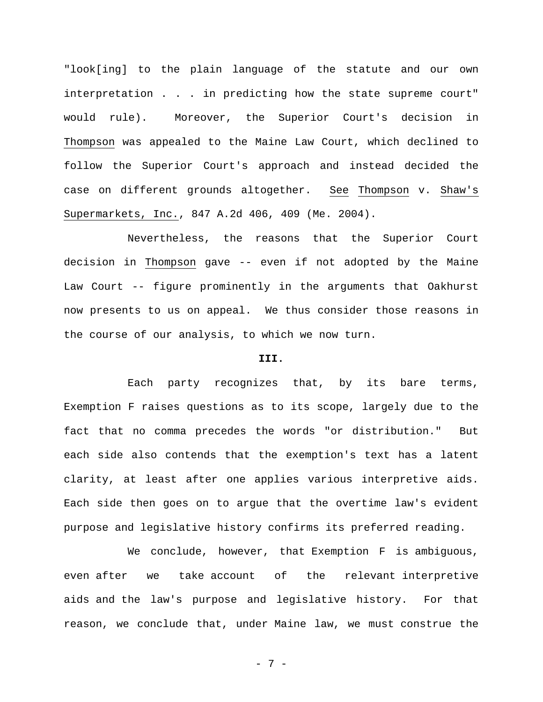"look[ing] to the plain language of the statute and our own interpretation . . . in predicting how the state supreme court" would rule). Moreover, the Superior Court's decision in Thompson was appealed to the Maine Law Court, which declined to follow the Superior Court's approach and instead decided the case on different grounds altogether. See Thompson v. Shaw's Supermarkets, Inc., 847 A.2d 406, 409 (Me. 2004).

Nevertheless, the reasons that the Superior Court decision in Thompson gave -- even if not adopted by the Maine Law Court -- figure prominently in the arguments that Oakhurst now presents to us on appeal. We thus consider those reasons in the course of our analysis, to which we now turn.

## **III.**

Each party recognizes that, by its bare terms, Exemption F raises questions as to its scope, largely due to the fact that no comma precedes the words "or distribution." But each side also contends that the exemption's text has a latent clarity, at least after one applies various interpretive aids. Each side then goes on to argue that the overtime law's evident purpose and legislative history confirms its preferred reading.

We conclude, however, that Exemption F is ambiguous, even after we take account of the relevant interpretive aids and the law's purpose and legislative history. For that reason, we conclude that, under Maine law, we must construe the

- 7 -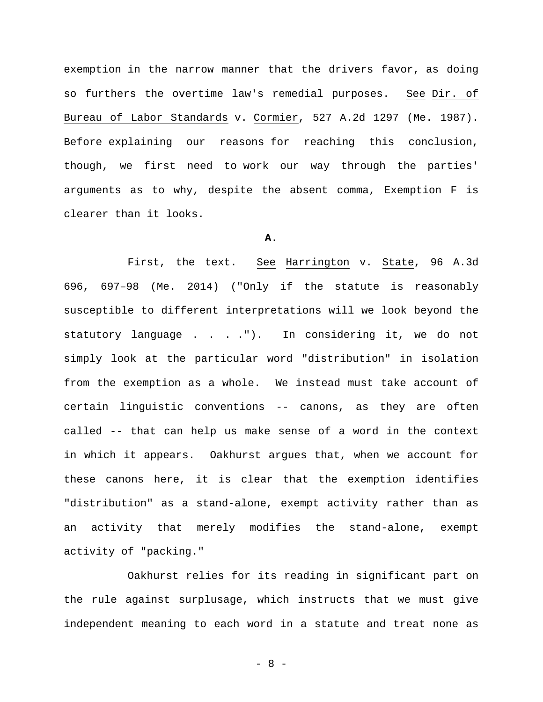exemption in the narrow manner that the drivers favor, as doing so furthers the overtime law's remedial purposes. See Dir. of Bureau of Labor Standards v. Cormier, 527 A.2d 1297 (Me. 1987). Before explaining our reasons for reaching this conclusion, though, we first need to work our way through the parties' arguments as to why, despite the absent comma, Exemption F is clearer than it looks.

## **A.**

First, the text. See Harrington v. State, 96 A.3d 696, 697–98 (Me. 2014) ("Only if the statute is reasonably susceptible to different interpretations will we look beyond the statutory language . . . ."). In considering it, we do not simply look at the particular word "distribution" in isolation from the exemption as a whole. We instead must take account of certain linguistic conventions -- canons, as they are often called -- that can help us make sense of a word in the context in which it appears. Oakhurst argues that, when we account for these canons here, it is clear that the exemption identifies "distribution" as a stand-alone, exempt activity rather than as an activity that merely modifies the stand-alone, exempt activity of "packing."

Oakhurst relies for its reading in significant part on the rule against surplusage, which instructs that we must give independent meaning to each word in a statute and treat none as

- 8 -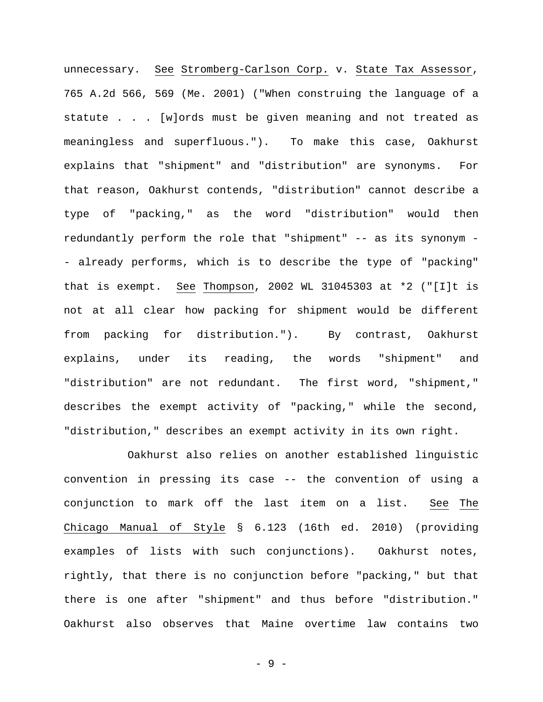unnecessary. See Stromberg-Carlson Corp. v. State Tax Assessor, 765 A.2d 566, 569 (Me. 2001) ("When construing the language of a statute . . . [w]ords must be given meaning and not treated as meaningless and superfluous."). To make this case, Oakhurst explains that "shipment" and "distribution" are synonyms. For that reason, Oakhurst contends, "distribution" cannot describe a type of "packing," as the word "distribution" would then redundantly perform the role that "shipment" -- as its synonym - - already performs, which is to describe the type of "packing" that is exempt. See Thompson, 2002 WL 31045303 at \*2 ("[I]t is not at all clear how packing for shipment would be different from packing for distribution."). By contrast, Oakhurst explains, under its reading, the words "shipment" and "distribution" are not redundant. The first word, "shipment," describes the exempt activity of "packing," while the second, "distribution," describes an exempt activity in its own right.

Oakhurst also relies on another established linguistic convention in pressing its case -- the convention of using a conjunction to mark off the last item on a list. See The Chicago Manual of Style § 6.123 (16th ed. 2010) (providing examples of lists with such conjunctions). Oakhurst notes, rightly, that there is no conjunction before "packing," but that there is one after "shipment" and thus before "distribution." Oakhurst also observes that Maine overtime law contains two

- 9 -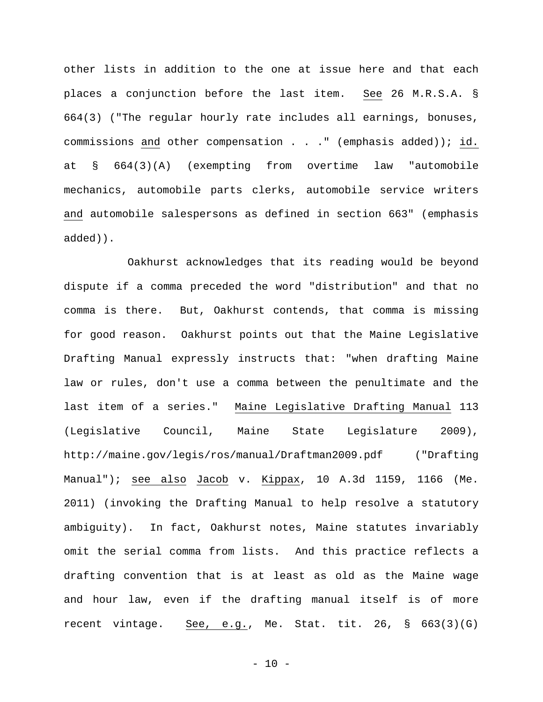other lists in addition to the one at issue here and that each places a conjunction before the last item. See 26 M.R.S.A. § 664(3) ("The regular hourly rate includes all earnings, bonuses, commissions and other compensation . . ." (emphasis added)); id. at § 664(3)(A) (exempting from overtime law "automobile mechanics, automobile parts clerks, automobile service writers and automobile salespersons as defined in section 663" (emphasis added)).

Oakhurst acknowledges that its reading would be beyond dispute if a comma preceded the word "distribution" and that no comma is there. But, Oakhurst contends, that comma is missing for good reason. Oakhurst points out that the Maine Legislative Drafting Manual expressly instructs that: "when drafting Maine law or rules, don't use a comma between the penultimate and the last item of a series." Maine Legislative Drafting Manual 113 (Legislative Council, Maine State Legislature 2009), http://maine.gov/legis/ros/manual/Draftman2009.pdf ("Drafting Manual"); see also Jacob v. Kippax, 10 A.3d 1159, 1166 (Me. 2011) (invoking the Drafting Manual to help resolve a statutory ambiguity). In fact, Oakhurst notes, Maine statutes invariably omit the serial comma from lists. And this practice reflects a drafting convention that is at least as old as the Maine wage and hour law, even if the drafting manual itself is of more recent vintage. See, e.g., Me. Stat. tit. 26, § 663(3)(G)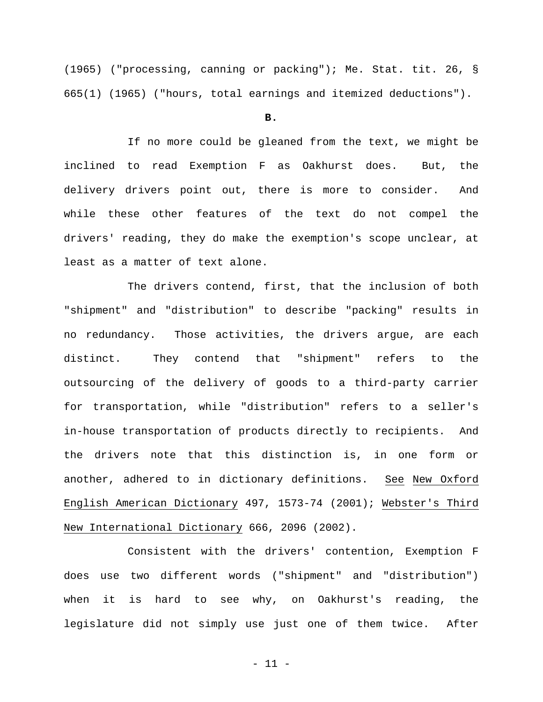(1965) ("processing, canning or packing"); Me. Stat. tit. 26, § 665(1) (1965) ("hours, total earnings and itemized deductions").

## **B.**

If no more could be gleaned from the text, we might be inclined to read Exemption F as Oakhurst does. But, the delivery drivers point out, there is more to consider. And while these other features of the text do not compel the drivers' reading, they do make the exemption's scope unclear, at least as a matter of text alone.

The drivers contend, first, that the inclusion of both "shipment" and "distribution" to describe "packing" results in no redundancy. Those activities, the drivers argue, are each distinct. They contend that "shipment" refers to the outsourcing of the delivery of goods to a third-party carrier for transportation, while "distribution" refers to a seller's in-house transportation of products directly to recipients. And the drivers note that this distinction is, in one form or another, adhered to in dictionary definitions. See New Oxford English American Dictionary 497, 1573-74 (2001); Webster's Third New International Dictionary 666, 2096 (2002).

Consistent with the drivers' contention, Exemption F does use two different words ("shipment" and "distribution") when it is hard to see why, on Oakhurst's reading, the legislature did not simply use just one of them twice. After

- 11 -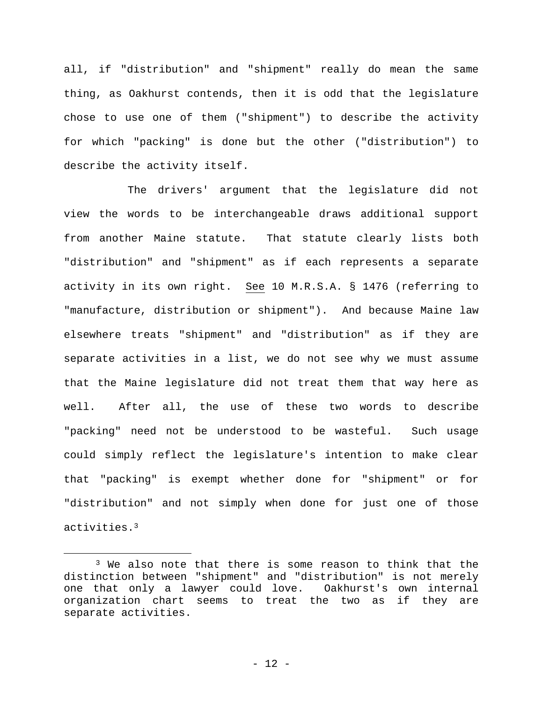all, if "distribution" and "shipment" really do mean the same thing, as Oakhurst contends, then it is odd that the legislature chose to use one of them ("shipment") to describe the activity for which "packing" is done but the other ("distribution") to describe the activity itself.

The drivers' argument that the legislature did not view the words to be interchangeable draws additional support from another Maine statute. That statute clearly lists both "distribution" and "shipment" as if each represents a separate activity in its own right. See 10 M.R.S.A. § 1476 (referring to "manufacture, distribution or shipment"). And because Maine law elsewhere treats "shipment" and "distribution" as if they are separate activities in a list, we do not see why we must assume that the Maine legislature did not treat them that way here as well. After all, the use of these two words to describe "packing" need not be understood to be wasteful. Such usage could simply reflect the legislature's intention to make clear that "packing" is exempt whether done for "shipment" or for "distribution" and not simply when done for just one of those activities.3

<sup>&</sup>lt;sup>3</sup> We also note that there is some reason to think that the distinction between "shipment" and "distribution" is not merely one that only a lawyer could love. Oakhurst's own internal organization chart seems to treat the two as if they are separate activities.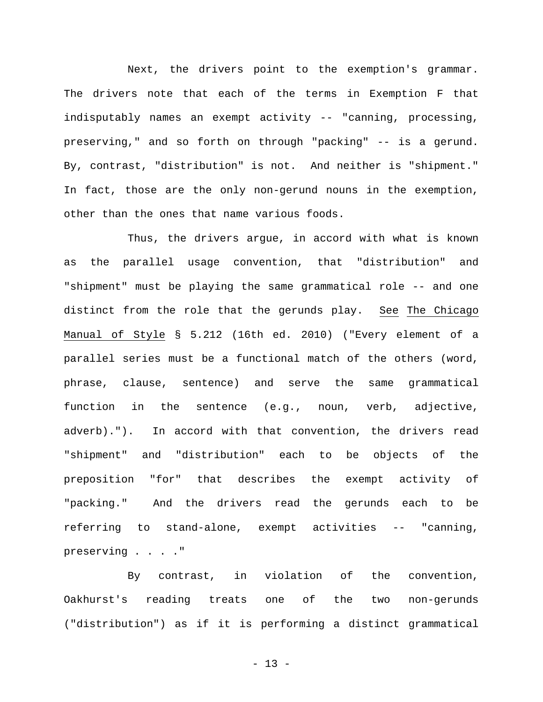Next, the drivers point to the exemption's grammar. The drivers note that each of the terms in Exemption F that indisputably names an exempt activity -- "canning, processing, preserving," and so forth on through "packing" -- is a gerund. By, contrast, "distribution" is not. And neither is "shipment." In fact, those are the only non-gerund nouns in the exemption, other than the ones that name various foods.

Thus, the drivers argue, in accord with what is known as the parallel usage convention, that "distribution" and "shipment" must be playing the same grammatical role -- and one distinct from the role that the gerunds play. See The Chicago Manual of Style § 5.212 (16th ed. 2010) ("Every element of a parallel series must be a functional match of the others (word, phrase, clause, sentence) and serve the same grammatical function in the sentence (e.g., noun, verb, adjective, adverb)."). In accord with that convention, the drivers read "shipment" and "distribution" each to be objects of the preposition "for" that describes the exempt activity of "packing." And the drivers read the gerunds each to be referring to stand-alone, exempt activities -- "canning, preserving . . . ."

By contrast, in violation of the convention, Oakhurst's reading treats one of the two non-gerunds ("distribution") as if it is performing a distinct grammatical

- 13 -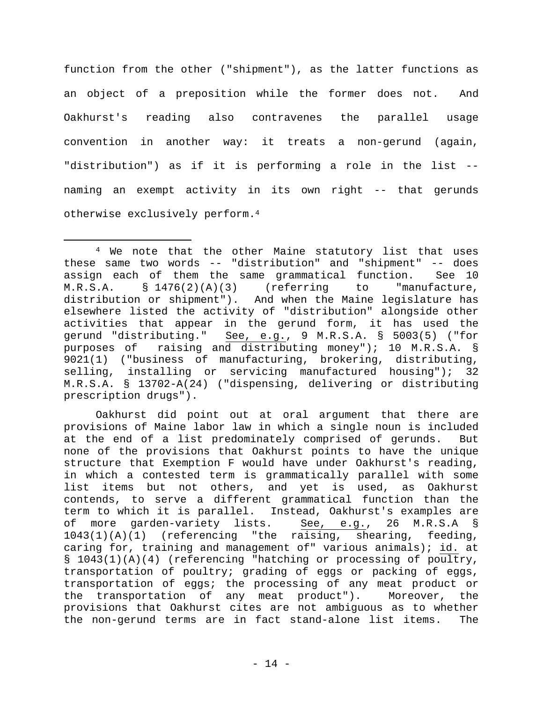function from the other ("shipment"), as the latter functions as an object of a preposition while the former does not. And Oakhurst's reading also contravenes the parallel usage convention in another way: it treats a non-gerund (again, "distribution") as if it is performing a role in the list - naming an exempt activity in its own right -- that gerunds otherwise exclusively perform.4

Oakhurst did point out at oral argument that there are provisions of Maine labor law in which a single noun is included at the end of a list predominately comprised of gerunds. But none of the provisions that Oakhurst points to have the unique structure that Exemption F would have under Oakhurst's reading, in which a contested term is grammatically parallel with some list items but not others, and yet is used, as Oakhurst contends, to serve a different grammatical function than the term to which it is parallel. Instead, Oakhurst's examples are<br>of more garden-variety lists. See, e.g., 26 M.R.S.A § of more garden-variety lists. 1043(1)(A)(1) (referencing "the raising, shearing, feeding, caring for, training and management of" various animals); id. at § 1043(1)(A)(4) (referencing "hatching or processing of poultry, transportation of poultry; grading of eggs or packing of eggs, transportation of eggs; the processing of any meat product or the transportation of any meat product"). Moreover, the provisions that Oakhurst cites are not ambiguous as to whether the non-gerund terms are in fact stand-alone list items. The

 <sup>4</sup> We note that the other Maine statutory list that uses these same two words -- "distribution" and "shipment" -- does assign each of them the same grammatical function. See 10  $M.R.S.A.$  §  $1476(2)(A)(3)$  (referring to "manufacture, distribution or shipment"). And when the Maine legislature has elsewhere listed the activity of "distribution" alongside other activities that appear in the gerund form, it has used the gerund "distributing." See, e.g., 9 M.R.S.A. § 5003(5) ("for purposes of raising and distributing money"); 10 M.R.S.A. § 9021(1) ("business of manufacturing, brokering, distributing, selling, installing or servicing manufactured housing"); 32 M.R.S.A. § 13702-A(24) ("dispensing, delivering or distributing prescription drugs").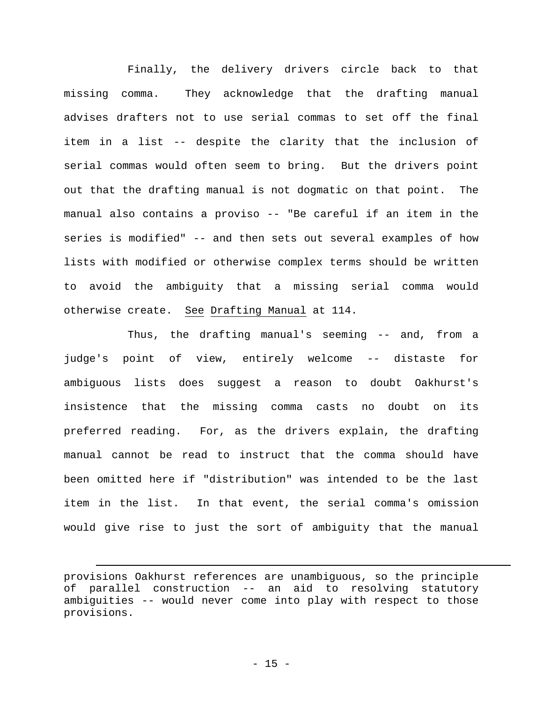Finally, the delivery drivers circle back to that missing comma. They acknowledge that the drafting manual advises drafters not to use serial commas to set off the final item in a list -- despite the clarity that the inclusion of serial commas would often seem to bring. But the drivers point out that the drafting manual is not dogmatic on that point. The manual also contains a proviso -- "Be careful if an item in the series is modified" -- and then sets out several examples of how lists with modified or otherwise complex terms should be written to avoid the ambiguity that a missing serial comma would otherwise create. See Drafting Manual at 114.

Thus, the drafting manual's seeming -- and, from a judge's point of view, entirely welcome -- distaste for ambiguous lists does suggest a reason to doubt Oakhurst's insistence that the missing comma casts no doubt on its preferred reading. For, as the drivers explain, the drafting manual cannot be read to instruct that the comma should have been omitted here if "distribution" was intended to be the last item in the list. In that event, the serial comma's omission would give rise to just the sort of ambiguity that the manual

i

provisions Oakhurst references are unambiguous, so the principle of parallel construction -- an aid to resolving statutory ambiguities -- would never come into play with respect to those provisions.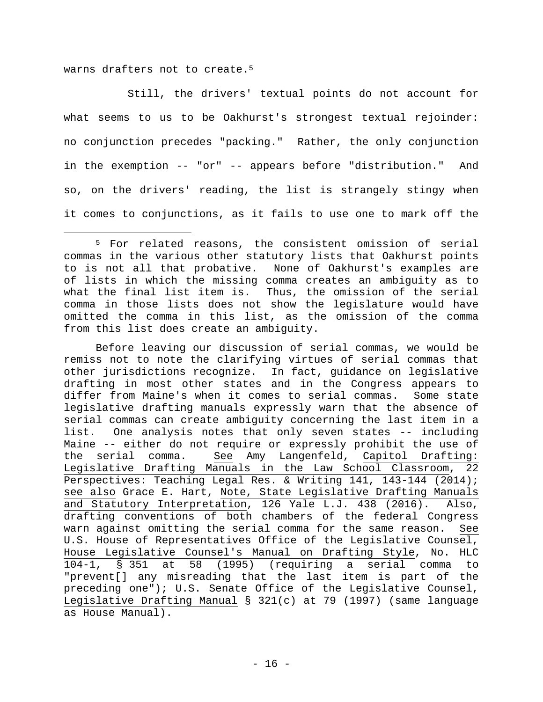warns drafters not to create.<sup>5</sup>

Still, the drivers' textual points do not account for what seems to us to be Oakhurst's strongest textual rejoinder: no conjunction precedes "packing." Rather, the only conjunction in the exemption -- "or" -- appears before "distribution." And so, on the drivers' reading, the list is strangely stingy when it comes to conjunctions, as it fails to use one to mark off the

Before leaving our discussion of serial commas, we would be remiss not to note the clarifying virtues of serial commas that other jurisdictions recognize. In fact, guidance on legislative drafting in most other states and in the Congress appears to differ from Maine's when it comes to serial commas. Some state legislative drafting manuals expressly warn that the absence of serial commas can create ambiguity concerning the last item in a list. One analysis notes that only seven states -- including Maine -- either do not require or expressly prohibit the use of the serial comma. See Amy Langenfeld, Capitol Drafting: Legislative Drafting Manuals in the Law School Classroom, 22 Perspectives: Teaching Legal Res. & Writing 141, 143-144 (2014); see also Grace E. Hart, Note, State Legislative Drafting Manuals and Statutory Interpretation, 126 Yale L.J. 438 (2016). Also, drafting conventions of both chambers of the federal Congress warn against omitting the serial comma for the same reason. See U.S. House of Representatives Office of the Legislative Counsel, House Legislative Counsel's Manual on Drafting Style, No. HLC 104-1, § 351 at 58 (1995) (requiring a serial comma to "prevent[] any misreading that the last item is part of the preceding one"); U.S. Senate Office of the Legislative Counsel, Legislative Drafting Manual § 321(c) at 79 (1997) (same language as House Manual).

 <sup>5</sup> For related reasons, the consistent omission of serial commas in the various other statutory lists that Oakhurst points to is not all that probative. None of Oakhurst's examples are of lists in which the missing comma creates an ambiguity as to what the final list item is. Thus, the omission of the serial comma in those lists does not show the legislature would have omitted the comma in this list, as the omission of the comma from this list does create an ambiguity.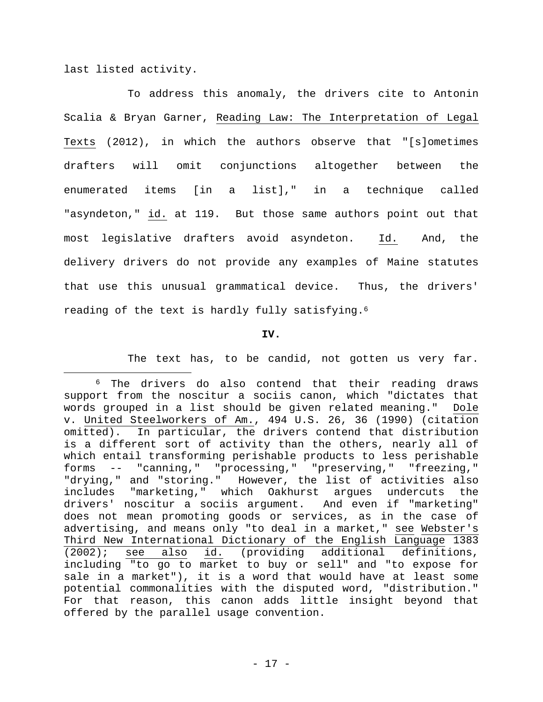last listed activity.

To address this anomaly, the drivers cite to Antonin Scalia & Bryan Garner, Reading Law: The Interpretation of Legal Texts (2012), in which the authors observe that "[s]ometimes drafters will omit conjunctions altogether between the enumerated items [in a list]," in a technique called "asyndeton," id. at 119. But those same authors point out that most legislative drafters avoid asyndeton. Id. And, the delivery drivers do not provide any examples of Maine statutes that use this unusual grammatical device. Thus, the drivers' reading of the text is hardly fully satisfying.6

## **IV.**

The text has, to be candid, not gotten us very far.

 <sup>6</sup> The drivers do also contend that their reading draws support from the noscitur a sociis canon, which "dictates that words grouped in a list should be given related meaning." Dole v. United Steelworkers of Am., 494 U.S. 26, 36 (1990) (citation omitted). In particular, the drivers contend that distribution is a different sort of activity than the others, nearly all of which entail transforming perishable products to less perishable forms -- "canning," "processing," "preserving," "freezing," "drying," and "storing." However, the list of activities also includes "marketing," which Oakhurst argues undercuts the drivers' noscitur a sociis argument. And even if "marketing" does not mean promoting goods or services, as in the case of advertising, and means only "to deal in a market," see Webster's Third New International Dictionary of the English Language 1383 (2002); see also id. (providing additional definitions, including "to go to market to buy or sell" and "to expose for sale in a market"), it is a word that would have at least some potential commonalities with the disputed word, "distribution." For that reason, this canon adds little insight beyond that offered by the parallel usage convention.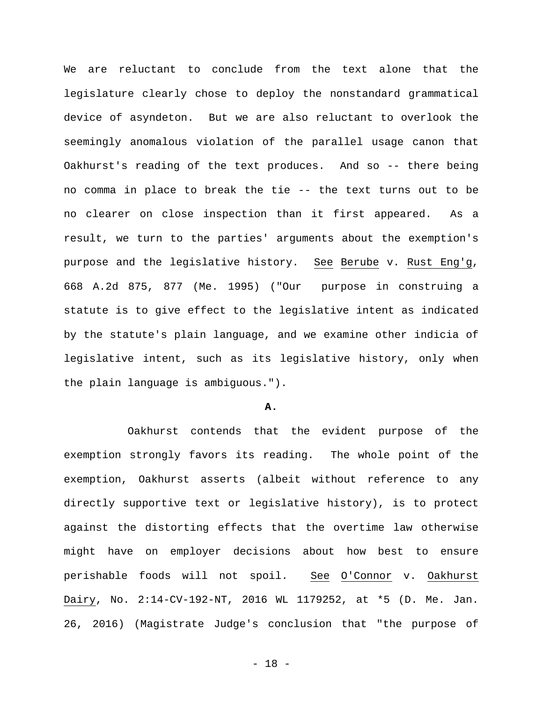We are reluctant to conclude from the text alone that the legislature clearly chose to deploy the nonstandard grammatical device of asyndeton. But we are also reluctant to overlook the seemingly anomalous violation of the parallel usage canon that Oakhurst's reading of the text produces. And so -- there being no comma in place to break the tie -- the text turns out to be no clearer on close inspection than it first appeared. As a result, we turn to the parties' arguments about the exemption's purpose and the legislative history. See Berube v. Rust Eng'g, 668 A.2d 875, 877 (Me. 1995) ("Our purpose in construing a statute is to give effect to the legislative intent as indicated by the statute's plain language, and we examine other indicia of legislative intent, such as its legislative history, only when the plain language is ambiguous.").

#### **A.**

Oakhurst contends that the evident purpose of the exemption strongly favors its reading. The whole point of the exemption, Oakhurst asserts (albeit without reference to any directly supportive text or legislative history), is to protect against the distorting effects that the overtime law otherwise might have on employer decisions about how best to ensure perishable foods will not spoil. See O'Connor v. Oakhurst Dairy, No. 2:14-CV-192-NT, 2016 WL 1179252, at \*5 (D. Me. Jan. 26, 2016) (Magistrate Judge's conclusion that "the purpose of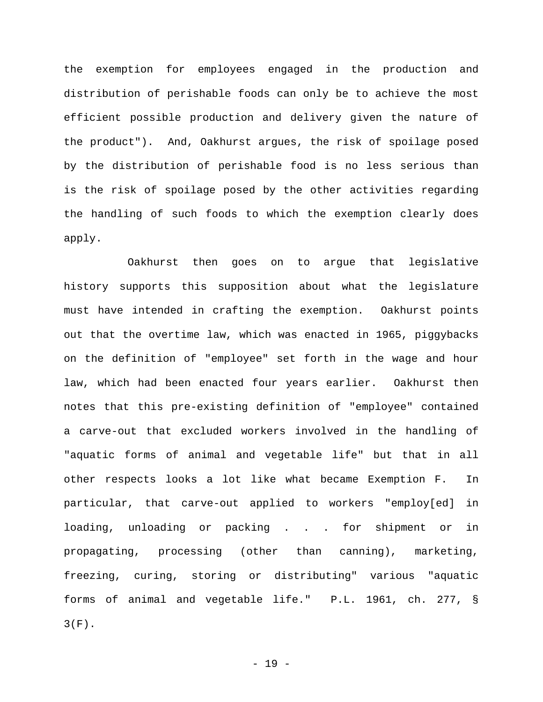the exemption for employees engaged in the production and distribution of perishable foods can only be to achieve the most efficient possible production and delivery given the nature of the product"). And, Oakhurst argues, the risk of spoilage posed by the distribution of perishable food is no less serious than is the risk of spoilage posed by the other activities regarding the handling of such foods to which the exemption clearly does apply.

Oakhurst then goes on to argue that legislative history supports this supposition about what the legislature must have intended in crafting the exemption. Oakhurst points out that the overtime law, which was enacted in 1965, piggybacks on the definition of "employee" set forth in the wage and hour law, which had been enacted four years earlier. Oakhurst then notes that this pre-existing definition of "employee" contained a carve-out that excluded workers involved in the handling of "aquatic forms of animal and vegetable life" but that in all other respects looks a lot like what became Exemption F. In particular, that carve-out applied to workers "employ[ed] in loading, unloading or packing . . . for shipment or in propagating, processing (other than canning), marketing, freezing, curing, storing or distributing" various "aquatic forms of animal and vegetable life." P.L. 1961, ch. 277, § 3(F).

- 19 -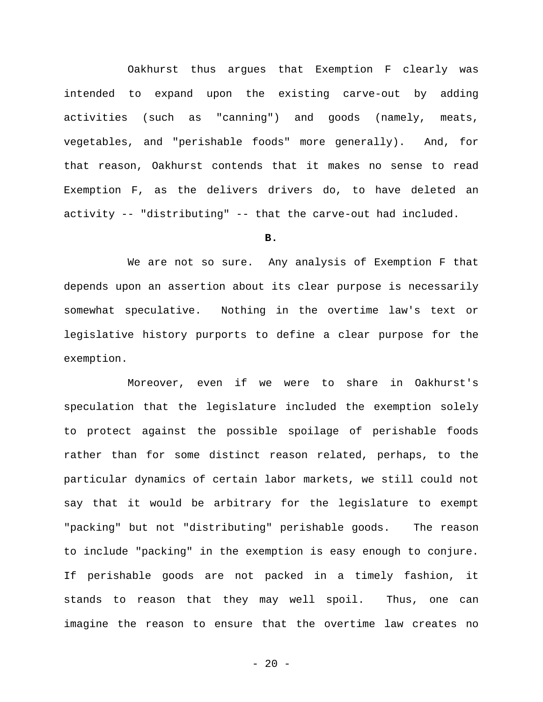Oakhurst thus argues that Exemption F clearly was intended to expand upon the existing carve-out by adding activities (such as "canning") and goods (namely, meats, vegetables, and "perishable foods" more generally). And, for that reason, Oakhurst contends that it makes no sense to read Exemption F, as the delivers drivers do, to have deleted an activity -- "distributing" -- that the carve-out had included.

**B.** 

We are not so sure. Any analysis of Exemption F that depends upon an assertion about its clear purpose is necessarily somewhat speculative. Nothing in the overtime law's text or legislative history purports to define a clear purpose for the exemption.

Moreover, even if we were to share in Oakhurst's speculation that the legislature included the exemption solely to protect against the possible spoilage of perishable foods rather than for some distinct reason related, perhaps, to the particular dynamics of certain labor markets, we still could not say that it would be arbitrary for the legislature to exempt "packing" but not "distributing" perishable goods. The reason to include "packing" in the exemption is easy enough to conjure. If perishable goods are not packed in a timely fashion, it stands to reason that they may well spoil. Thus, one can imagine the reason to ensure that the overtime law creates no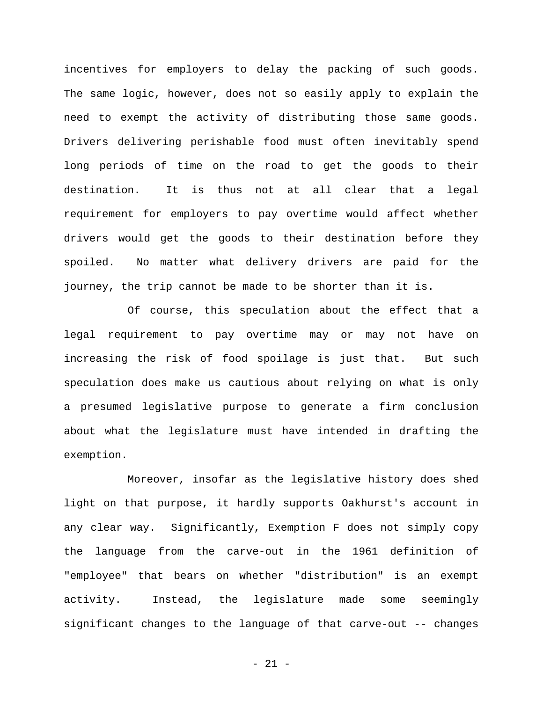incentives for employers to delay the packing of such goods. The same logic, however, does not so easily apply to explain the need to exempt the activity of distributing those same goods. Drivers delivering perishable food must often inevitably spend long periods of time on the road to get the goods to their destination. It is thus not at all clear that a legal requirement for employers to pay overtime would affect whether drivers would get the goods to their destination before they spoiled. No matter what delivery drivers are paid for the journey, the trip cannot be made to be shorter than it is.

Of course, this speculation about the effect that a legal requirement to pay overtime may or may not have on increasing the risk of food spoilage is just that. But such speculation does make us cautious about relying on what is only a presumed legislative purpose to generate a firm conclusion about what the legislature must have intended in drafting the exemption.

Moreover, insofar as the legislative history does shed light on that purpose, it hardly supports Oakhurst's account in any clear way. Significantly, Exemption F does not simply copy the language from the carve-out in the 1961 definition of "employee" that bears on whether "distribution" is an exempt activity. Instead, the legislature made some seemingly significant changes to the language of that carve-out -- changes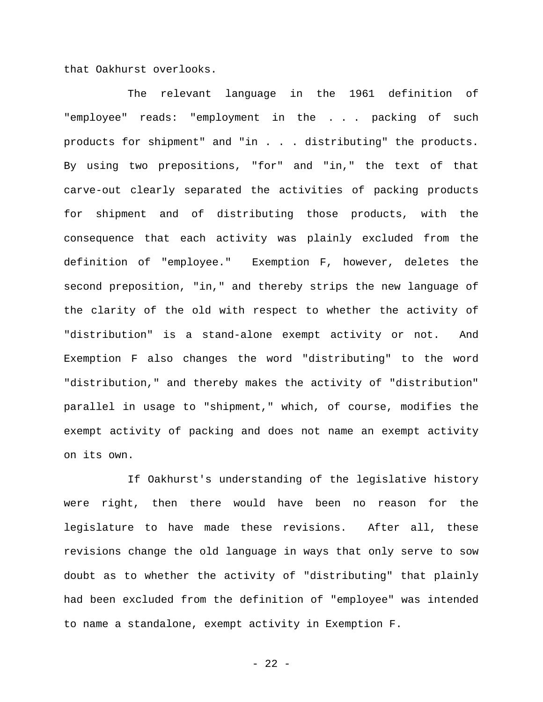that Oakhurst overlooks.

The relevant language in the 1961 definition of "employee" reads: "employment in the . . . packing of such products for shipment" and "in . . . distributing" the products. By using two prepositions, "for" and "in," the text of that carve-out clearly separated the activities of packing products for shipment and of distributing those products, with the consequence that each activity was plainly excluded from the definition of "employee." Exemption F, however, deletes the second preposition, "in," and thereby strips the new language of the clarity of the old with respect to whether the activity of "distribution" is a stand-alone exempt activity or not. And Exemption F also changes the word "distributing" to the word "distribution," and thereby makes the activity of "distribution" parallel in usage to "shipment," which, of course, modifies the exempt activity of packing and does not name an exempt activity on its own.

If Oakhurst's understanding of the legislative history were right, then there would have been no reason for the legislature to have made these revisions. After all, these revisions change the old language in ways that only serve to sow doubt as to whether the activity of "distributing" that plainly had been excluded from the definition of "employee" was intended to name a standalone, exempt activity in Exemption F.

- 22 -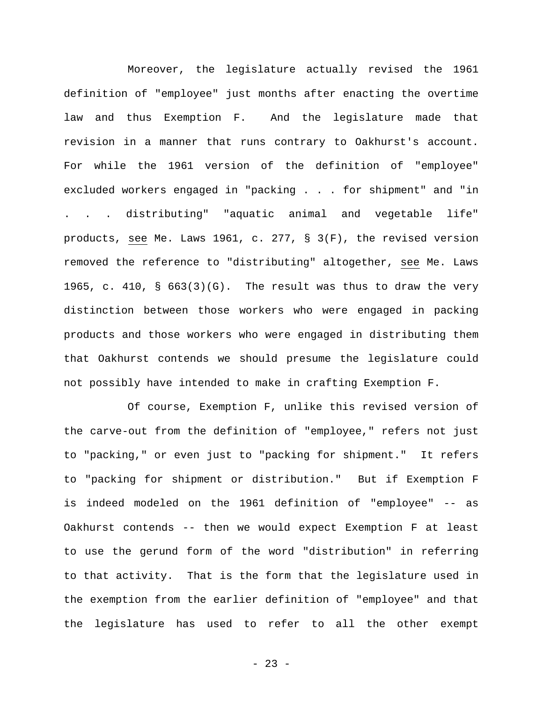Moreover, the legislature actually revised the 1961 definition of "employee" just months after enacting the overtime law and thus Exemption F. And the legislature made that revision in a manner that runs contrary to Oakhurst's account. For while the 1961 version of the definition of "employee" excluded workers engaged in "packing . . . for shipment" and "in . . . distributing" "aquatic animal and vegetable life" products, see Me. Laws 1961, c. 277, § 3(F), the revised version removed the reference to "distributing" altogether, see Me. Laws 1965, c. 410, § 663(3)(G). The result was thus to draw the very distinction between those workers who were engaged in packing products and those workers who were engaged in distributing them that Oakhurst contends we should presume the legislature could not possibly have intended to make in crafting Exemption F.

Of course, Exemption F, unlike this revised version of the carve-out from the definition of "employee," refers not just to "packing," or even just to "packing for shipment." It refers to "packing for shipment or distribution." But if Exemption F is indeed modeled on the 1961 definition of "employee" -- as Oakhurst contends -- then we would expect Exemption F at least to use the gerund form of the word "distribution" in referring to that activity. That is the form that the legislature used in the exemption from the earlier definition of "employee" and that the legislature has used to refer to all the other exempt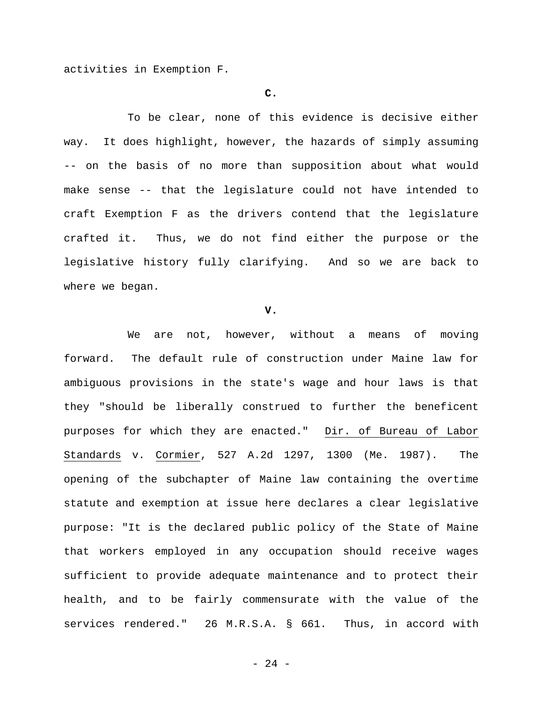activities in Exemption F.

#### **C.**

To be clear, none of this evidence is decisive either way. It does highlight, however, the hazards of simply assuming -- on the basis of no more than supposition about what would make sense -- that the legislature could not have intended to craft Exemption F as the drivers contend that the legislature crafted it. Thus, we do not find either the purpose or the legislative history fully clarifying. And so we are back to where we began.

#### **V.**

We are not, however, without a means of moving forward. The default rule of construction under Maine law for ambiguous provisions in the state's wage and hour laws is that they "should be liberally construed to further the beneficent purposes for which they are enacted." Dir. of Bureau of Labor Standards v. Cormier, 527 A.2d 1297, 1300 (Me. 1987). The opening of the subchapter of Maine law containing the overtime statute and exemption at issue here declares a clear legislative purpose: "It is the declared public policy of the State of Maine that workers employed in any occupation should receive wages sufficient to provide adequate maintenance and to protect their health, and to be fairly commensurate with the value of the services rendered." 26 M.R.S.A. § 661. Thus, in accord with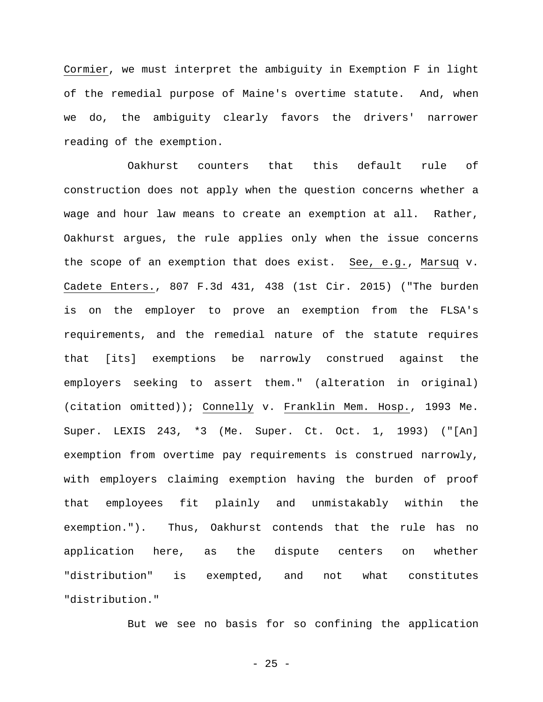Cormier, we must interpret the ambiguity in Exemption F in light of the remedial purpose of Maine's overtime statute. And, when we do, the ambiguity clearly favors the drivers' narrower reading of the exemption.

Oakhurst counters that this default rule of construction does not apply when the question concerns whether a wage and hour law means to create an exemption at all. Rather, Oakhurst argues, the rule applies only when the issue concerns the scope of an exemption that does exist. See, e.g., Marsuq v. Cadete Enters., 807 F.3d 431, 438 (1st Cir. 2015) ("The burden is on the employer to prove an exemption from the FLSA's requirements, and the remedial nature of the statute requires that [its] exemptions be narrowly construed against the employers seeking to assert them." (alteration in original) (citation omitted)); Connelly v. Franklin Mem. Hosp., 1993 Me. Super. LEXIS 243, \*3 (Me. Super. Ct. Oct. 1, 1993) ("[An] exemption from overtime pay requirements is construed narrowly, with employers claiming exemption having the burden of proof that employees fit plainly and unmistakably within the exemption."). Thus, Oakhurst contends that the rule has no application here, as the dispute centers on whether "distribution" is exempted, and not what constitutes "distribution."

But we see no basis for so confining the application

 $- 25 -$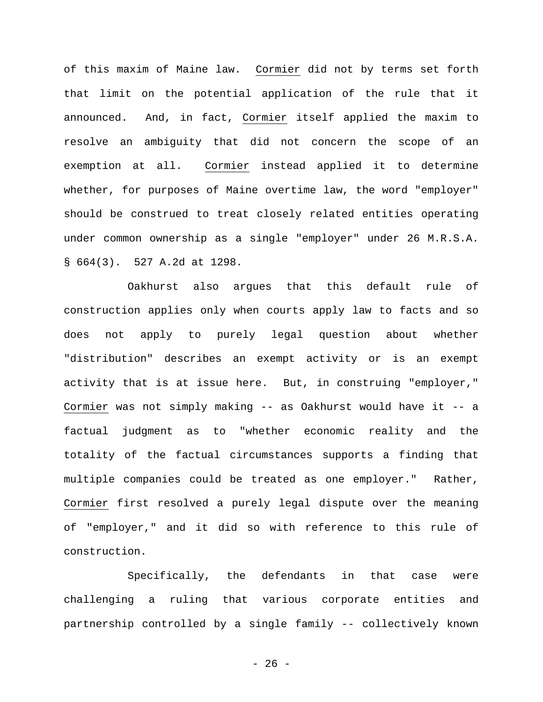of this maxim of Maine law. Cormier did not by terms set forth that limit on the potential application of the rule that it announced. And, in fact, Cormier itself applied the maxim to resolve an ambiguity that did not concern the scope of an exemption at all. Cormier instead applied it to determine whether, for purposes of Maine overtime law, the word "employer" should be construed to treat closely related entities operating under common ownership as a single "employer" under 26 M.R.S.A. § 664(3). 527 A.2d at 1298.

Oakhurst also argues that this default rule of construction applies only when courts apply law to facts and so does not apply to purely legal question about whether "distribution" describes an exempt activity or is an exempt activity that is at issue here. But, in construing "employer," Cormier was not simply making -- as Oakhurst would have it -- a factual judgment as to "whether economic reality and the totality of the factual circumstances supports a finding that multiple companies could be treated as one employer." Rather, Cormier first resolved a purely legal dispute over the meaning of "employer," and it did so with reference to this rule of construction.

Specifically, the defendants in that case were challenging a ruling that various corporate entities and partnership controlled by a single family -- collectively known

- 26 -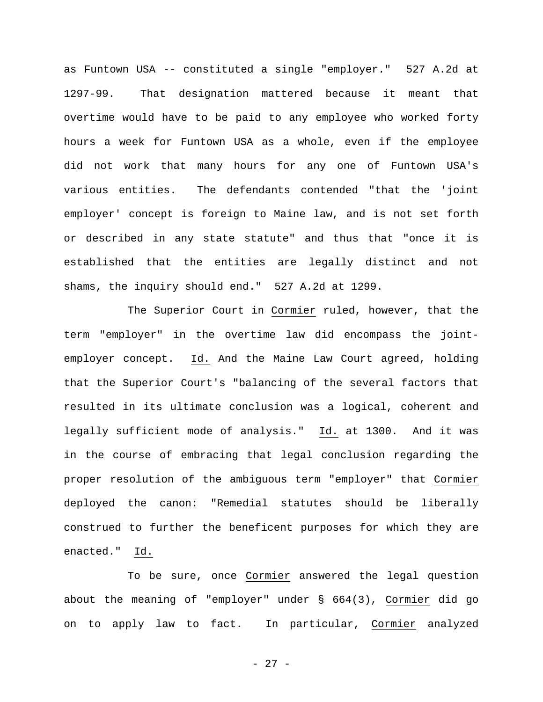as Funtown USA -- constituted a single "employer." 527 A.2d at 1297-99. That designation mattered because it meant that overtime would have to be paid to any employee who worked forty hours a week for Funtown USA as a whole, even if the employee did not work that many hours for any one of Funtown USA's various entities. The defendants contended "that the 'joint employer' concept is foreign to Maine law, and is not set forth or described in any state statute" and thus that "once it is established that the entities are legally distinct and not shams, the inquiry should end." 527 A.2d at 1299.

The Superior Court in Cormier ruled, however, that the term "employer" in the overtime law did encompass the jointemployer concept. Id. And the Maine Law Court agreed, holding that the Superior Court's "balancing of the several factors that resulted in its ultimate conclusion was a logical, coherent and legally sufficient mode of analysis." Id. at 1300. And it was in the course of embracing that legal conclusion regarding the proper resolution of the ambiguous term "employer" that Cormier deployed the canon: "Remedial statutes should be liberally construed to further the beneficent purposes for which they are enacted." Id.

To be sure, once Cormier answered the legal question about the meaning of "employer" under § 664(3), Cormier did go on to apply law to fact. In particular, Cormier analyzed

- 27 -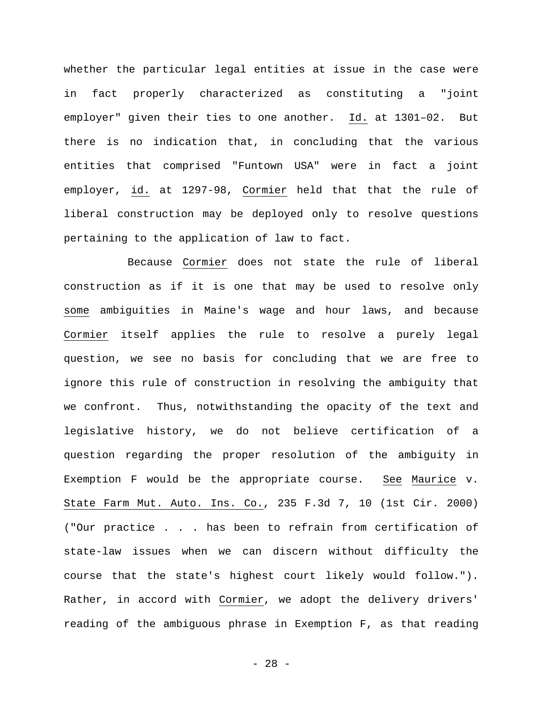whether the particular legal entities at issue in the case were in fact properly characterized as constituting a "joint employer" given their ties to one another. Id. at 1301–02. But there is no indication that, in concluding that the various entities that comprised "Funtown USA" were in fact a joint employer, id. at 1297-98, Cormier held that that the rule of liberal construction may be deployed only to resolve questions pertaining to the application of law to fact.

Because Cormier does not state the rule of liberal construction as if it is one that may be used to resolve only some ambiguities in Maine's wage and hour laws, and because Cormier itself applies the rule to resolve a purely legal question, we see no basis for concluding that we are free to ignore this rule of construction in resolving the ambiguity that we confront. Thus, notwithstanding the opacity of the text and legislative history, we do not believe certification of a question regarding the proper resolution of the ambiguity in Exemption F would be the appropriate course. See Maurice v. State Farm Mut. Auto. Ins. Co., 235 F.3d 7, 10 (1st Cir. 2000) ("Our practice . . . has been to refrain from certification of state-law issues when we can discern without difficulty the course that the state's highest court likely would follow."). Rather, in accord with Cormier, we adopt the delivery drivers' reading of the ambiguous phrase in Exemption F, as that reading